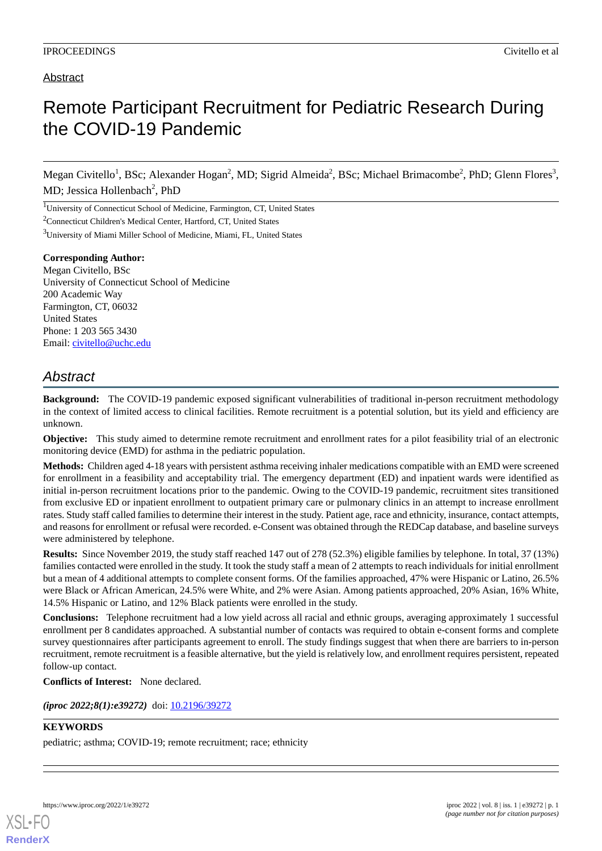### Abstract

# Remote Participant Recruitment for Pediatric Research During the COVID-19 Pandemic

Megan Civitello<sup>1</sup>, BSc; Alexander Hogan<sup>2</sup>, MD; Sigrid Almeida<sup>2</sup>, BSc; Michael Brimacombe<sup>2</sup>, PhD; Glenn Flores<sup>3</sup>, MD; Jessica Hollenbach<sup>2</sup>, PhD

<sup>1</sup>University of Connecticut School of Medicine, Farmington, CT, United States <sup>2</sup>Connecticut Children's Medical Center, Hartford, CT, United States <sup>3</sup>University of Miami Miller School of Medicine, Miami, FL, United States

#### **Corresponding Author:**

Megan Civitello, BSc University of Connecticut School of Medicine 200 Academic Way Farmington, CT, 06032 United States Phone: 1 203 565 3430 Email: [civitello@uchc.edu](mailto:civitello@uchc.edu)

## *Abstract*

**Background:** The COVID-19 pandemic exposed significant vulnerabilities of traditional in-person recruitment methodology in the context of limited access to clinical facilities. Remote recruitment is a potential solution, but its yield and efficiency are unknown.

**Objective:** This study aimed to determine remote recruitment and enrollment rates for a pilot feasibility trial of an electronic monitoring device (EMD) for asthma in the pediatric population.

**Methods:** Children aged 4-18 years with persistent asthma receiving inhaler medications compatible with an EMD were screened for enrollment in a feasibility and acceptability trial. The emergency department (ED) and inpatient wards were identified as initial in-person recruitment locations prior to the pandemic. Owing to the COVID-19 pandemic, recruitment sites transitioned from exclusive ED or inpatient enrollment to outpatient primary care or pulmonary clinics in an attempt to increase enrollment rates. Study staff called families to determine their interest in the study. Patient age, race and ethnicity, insurance, contact attempts, and reasons for enrollment or refusal were recorded. e-Consent was obtained through the REDCap database, and baseline surveys were administered by telephone.

**Results:** Since November 2019, the study staff reached 147 out of 278 (52.3%) eligible families by telephone. In total, 37 (13%) families contacted were enrolled in the study. It took the study staff a mean of 2 attempts to reach individuals for initial enrollment but a mean of 4 additional attempts to complete consent forms. Of the families approached, 47% were Hispanic or Latino, 26.5% were Black or African American, 24.5% were White, and 2% were Asian. Among patients approached, 20% Asian, 16% White, 14.5% Hispanic or Latino, and 12% Black patients were enrolled in the study.

**Conclusions:** Telephone recruitment had a low yield across all racial and ethnic groups, averaging approximately 1 successful enrollment per 8 candidates approached. A substantial number of contacts was required to obtain e-consent forms and complete survey questionnaires after participants agreement to enroll. The study findings suggest that when there are barriers to in-person recruitment, remote recruitment is a feasible alternative, but the yield is relatively low, and enrollment requires persistent, repeated follow-up contact.

**Conflicts of Interest:** None declared.

*(iproc 2022;8(1):e39272)* doi:  $10.2196/39272$ 

### **KEYWORDS**

pediatric; asthma; COVID-19; remote recruitment; race; ethnicity